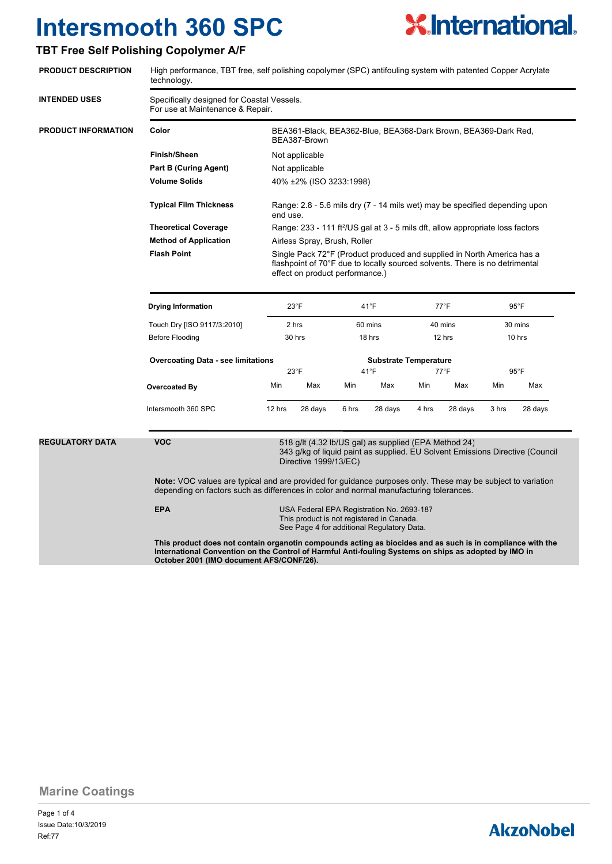### **TBT Free Self Polishing Copolymer A/F**



**Marine Coatings**

Page 1 of 4 Ref:77 Issue Date:10/3/2019

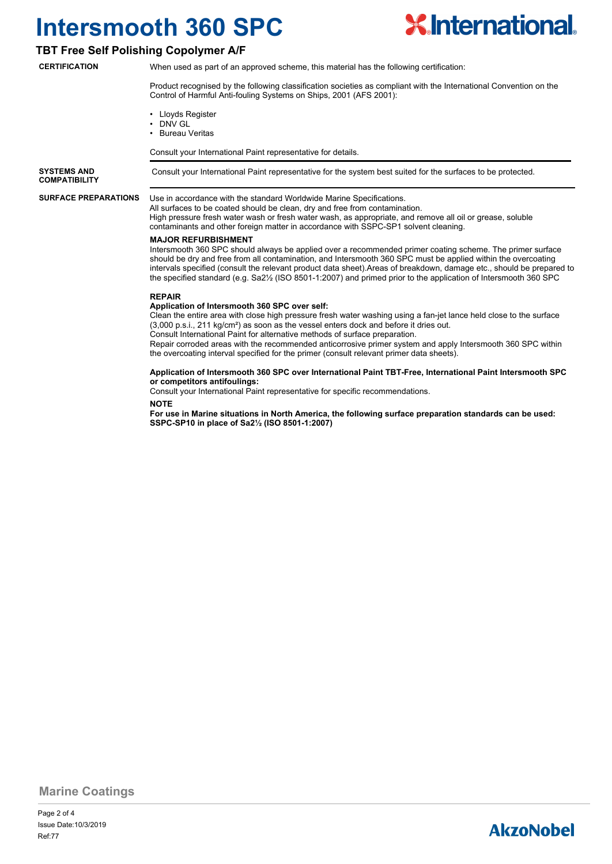

#### **TBT Free Self Polishing Copolymer A/F**

**CERTIFICATION**

When used as part of an approved scheme, this material has the following certification:

Product recognised by the following classification societies as compliant with the International Convention on the Control of Harmful Anti-fouling Systems on Ships, 2001 (AFS 2001):

- Lloyds Register
- DNV GL
- Bureau Veritas

Consult your International Paint representative for details.

**SYSTEMS AND** Consult your International Paint representative for the system best suited for the surfaces to be protected. **COMPATIBILITY**

**SURFACE PREPARATIONS**

#### Use in accordance with the standard Worldwide Marine Specifications.

All surfaces to be coated should be clean, dry and free from contamination. High pressure fresh water wash or fresh water wash, as appropriate, and remove all oil or grease, soluble contaminants and other foreign matter in accordance with SSPC-SP1 solvent cleaning.

#### **MAJOR REFURBISHMENT**

Intersmooth 360 SPC should always be applied over a recommended primer coating scheme. The primer surface should be dry and free from all contamination, and Intersmooth 360 SPC must be applied within the overcoating intervals specified (consult the relevant product data sheet).Areas of breakdown, damage etc., should be prepared to the specified standard (e.g. Sa2½ (ISO 8501-1:2007) and primed prior to the application of Intersmooth 360 SPC

#### **REPAIR**

#### **Application of Intersmooth 360 SPC over self:**

Clean the entire area with close high pressure fresh water washing using a fan-jet lance held close to the surface (3,000 p.s.i., 211 kg/cm²) as soon as the vessel enters dock and before it dries out. Consult International Paint for alternative methods of surface preparation.

Repair corroded areas with the recommended anticorrosive primer system and apply Intersmooth 360 SPC within the overcoating interval specified for the primer (consult relevant primer data sheets).

#### **Application of Intersmooth 360 SPC over International Paint TBT-Free, International Paint Intersmooth SPC or competitors antifoulings:**

Consult your International Paint representative for specific recommendations.

#### **NOTE**

**For use in Marine situations in North America, the following surface preparation standards can be used: SSPC-SP10 in place of Sa2½ (ISO 8501-1:2007)**

**Marine Coatings**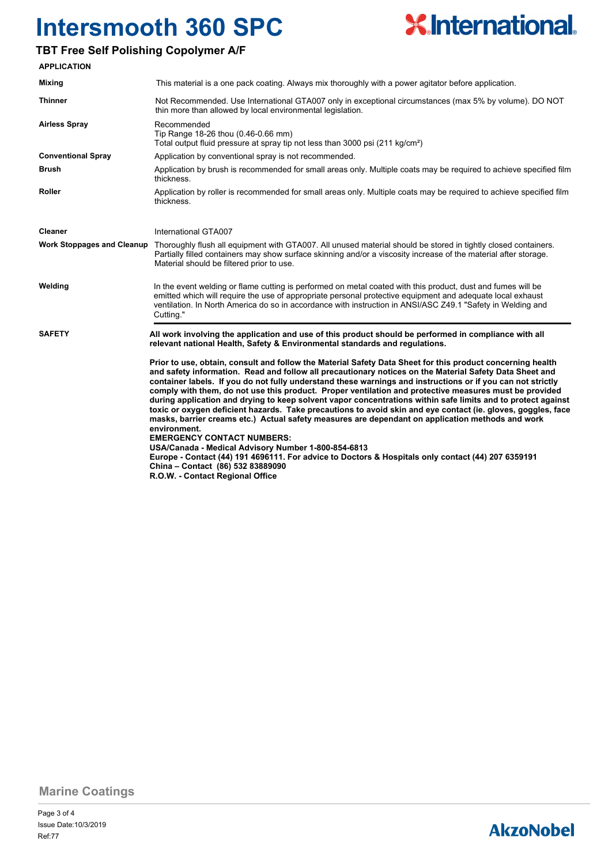## **TBT Free Self Polishing Copolymer A/F**

**Mixing**

**Brush**

**Roller**



**environment. EMERGENCY CONTACT NUMBERS: USA/Canada - Medical Advisory Number 1-800-854-6813 Europe - Contact (44) 191 4696111. For advice to Doctors & Hospitals only contact (44) 207 6359191 China – Contact (86) 532 83889090 R.O.W. - Contact Regional Office**

**Marine Coatings**